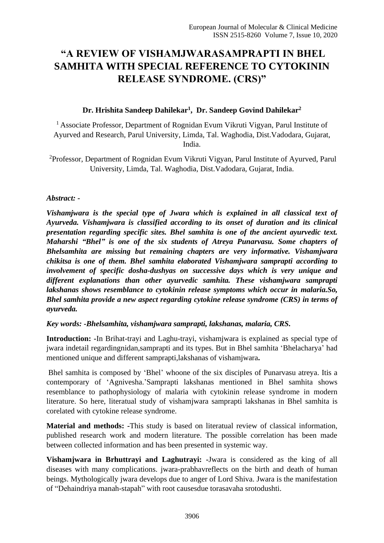# **"A REVIEW OF VISHAMJWARASAMPRAPTI IN BHEL SAMHITA WITH SPECIAL REFERENCE TO CYTOKININ RELEASE SYNDROME. (CRS)"**

# **Dr. Hrishita Sandeep Dahilekar<sup>1</sup> , Dr. Sandeep Govind Dahilekar<sup>2</sup>**

<sup>1</sup> Associate Professor, Department of Rognidan Evum Vikruti Vigyan, Parul Institute of Ayurved and Research, Parul University, Limda, Tal. Waghodia, Dist.Vadodara, Gujarat, India.

<sup>2</sup>Professor, Department of Rognidan Evum Vikruti Vigyan, Parul Institute of Ayurved, Parul University, Limda, Tal. Waghodia, Dist.Vadodara, Gujarat, India.

## *Abstract: -*

*Vishamjwara is the special type of Jwara which is explained in all classical text of Ayurveda. Vishamjwara is classified according to its onset of duration and its clinical presentation regarding specific sites. Bhel samhita is one of the ancient ayurvedic text. Maharshi "Bhel" is one of the six students of Atreya Punarvasu. Some chapters of Bhelsamhita are missing but remaining chapters are very informative. Vishamjwara chikitsa is one of them. Bhel samhita elaborated Vishamjwara samprapti according to involvement of specific dosha-dushyas on successive days which is very unique and different explanations than other ayurvedic samhita. These vishamjwara samprapti lakshanas shows resemblance to cytokinin release symptoms which occur in malaria.So, Bhel samhita provide a new aspect regarding cytokine release syndrome (CRS) in terms of ayurveda.*

#### *Key words: -Bhelsamhita, vishamjwara samprapti, lakshanas, malaria, CRS.*

**Introduction: -**In Brihat-trayi and Laghu-trayi, vishamjwara is explained as special type of jwara indetail regardingnidan,samprapti and its types. But in Bhel samhita 'Bhelacharya' had mentioned unique and different samprapti,lakshanas of vishamjwara**.**

Bhel samhita is composed by 'Bhel' whoone of the six disciples of Punarvasu atreya. Itis a contemporary of 'Agnivesha.'Samprapti lakshanas mentioned in Bhel samhita shows resemblance to pathophysiology of malaria with cytokinin release syndrome in modern literature. So here, literatual study of vishamjwara samprapti lakshanas in Bhel samhita is corelated with cytokine release syndrome.

**Material and methods: -**This study is based on literatual review of classical information, published research work and modern literature. The possible correlation has been made between collected information and has been presented in systemic way.

**Vishamjwara in Brhuttrayi and Laghutrayi: -**Jwara is considered as the king of all diseases with many complications. jwara-prabhavreflects on the birth and death of human beings. Mythologically jwara develops due to anger of Lord Shiva. Jwara is the manifestation of "Dehaindriya manah-stapah" with root causesdue torasavaha srotodushti.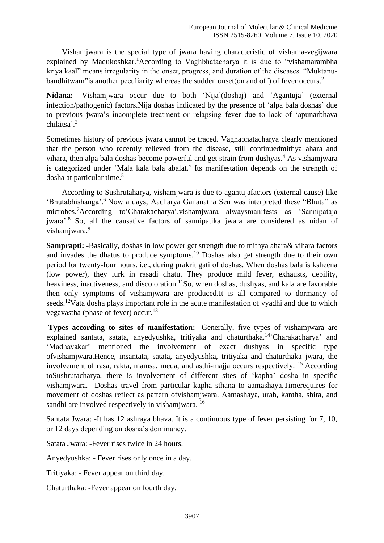Vishamjwara is the special type of jwara having characteristic of vishama-vegijwara explained by Madukoshkar.<sup>1</sup>According to Vaghbhatacharya it is due to "vishamarambha" kriya kaal" means irregularity in the onset, progress, and duration of the diseases. "Muktanubandhitwam" is another peculiarity whereas the sudden onset (on and off) of fever occurs.<sup>2</sup>

**Nidana: -**Vishamjwara occur due to both 'Nija'(doshaj) and 'Agantuja' (external infection/pathogenic) factors.Nija doshas indicated by the presence of 'alpa bala doshas' due to previous jwara's incomplete treatment or relapsing fever due to lack of 'apunarbhava chikitsa'. 3

Sometimes history of previous jwara cannot be traced. Vaghabhatacharya clearly mentioned that the person who recently relieved from the disease, still continuedmithya ahara and vihara, then alpa bala doshas become powerful and get strain from dushyas.<sup>4</sup> As vishamjwara is categorized under 'Mala kala bala abalat.' Its manifestation depends on the strength of dosha at particular time.<sup>5</sup>

 According to Sushrutaharya, vishamjwara is due to agantujafactors (external cause) like 'Bhutabhishanga'.<sup>6</sup> Now a days, Aacharya Gananatha Sen was interpreted these "Bhuta" as microbes. <sup>7</sup>According to'Charakacharya',vishamjwara alwaysmanifests as 'Sannipataja jwara'. <sup>8</sup> So, all the causative factors of sannipatika jwara are considered as nidan of vishamiwara.<sup>9</sup>

**Samprapti: -**Basically, doshas in low power get strength due to mithya ahara& vihara factors and invades the dhatus to produce symptoms.<sup>10</sup> Doshas also get strength due to their own period for twenty-four hours. i.e., during prakrit gati of doshas. When doshas bala is ksheena (low power), they lurk in rasadi dhatu. They produce mild fever, exhausts, debility, heaviness, inactiveness, and discoloration.<sup>11</sup>So, when doshas, dushyas, and kala are favorable then only symptoms of vishamjwara are produced.It is all compared to dormancy of seeds.<sup>12</sup>Vata dosha plays important role in the acute manifestation of vyadhi and due to which vegavastha (phase of fever) occur.<sup>13</sup>

**Types according to sites of manifestation:** -Generally, five types of vishamiwara are explained santata, satata, anyedyushka, tritiyaka and chaturthaka.<sup>14</sup> Charakacharya' and 'Madhavakar' mentioned the involvement of exact dushyas in specific type ofvishamjwara.Hence, insantata, satata, anyedyushka, tritiyaka and chaturthaka jwara, the involvement of rasa, rakta, mamsa, meda, and asthi-majja occurs respectively. <sup>15</sup> According toSushrutacharya, there is involvement of different sites of 'kapha' dosha in specific vishamjwara. Doshas travel from particular kapha sthana to aamashaya.Timerequires for movement of doshas reflect as pattern ofvishamjwara. Aamashaya, urah, kantha, shira, and sandhi are involved respectively in vishamjwara. <sup>16</sup>

Santata Jwara: -It has 12 ashraya bhava. It is a continuous type of fever persisting for 7, 10, or 12 days depending on dosha's dominancy.

Satata Jwara: -Fever rises twice in 24 hours.

Anyedyushka: - Fever rises only once in a day.

Tritiyaka: - Fever appear on third day.

Chaturthaka: -Fever appear on fourth day.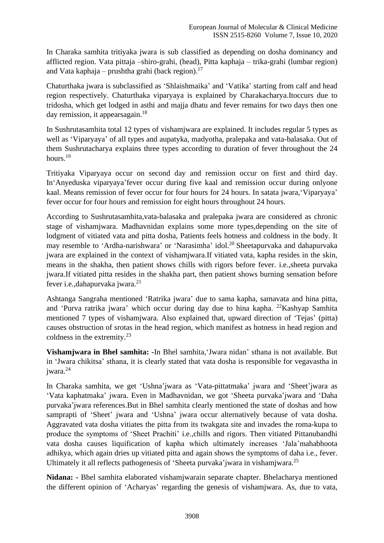In Charaka samhita tritiyaka jwara is sub classified as depending on dosha dominancy and afflicted region. Vata pittaja –shiro-grahi, (head), Pitta kaphaja – trika-grahi (lumbar region) and Vata kaphaja – prushtha grahi (back region). 17

Chaturthaka jwara is subclassified as 'Shlaishmaika' and 'Vatika' starting from calf and head region respectively. Chaturthaka viparyaya is explained by Charakacharya.Itoccurs due to tridosha, which get lodged in asthi and majja dhatu and fever remains for two days then one day remission, it appearsagain.<sup>18</sup>

In Sushrutasamhita total 12 types of vishamjwara are explained. It includes regular 5 types as well as 'Viparyaya' of all types and aupatyka, madyotha, pralepaka and vata-balasaka. Out of them Sushrutacharya explains three types according to duration of fever throughout the 24 hours.<sup>19</sup>

Tritiyaka Viparyaya occur on second day and remission occur on first and third day. In'Anyeduska viparyaya'fever occur during five kaal and remission occur during onlyone kaal. Means remission of fever occur for four hours for 24 hours. In satata jwara,'Viparyaya' fever occur for four hours and remission for eight hours throughout 24 hours.

According to Sushrutasamhita,vata-balasaka and pralepaka jwara are considered as chronic stage of vishamjwara. Madhavnidan explains some more types,depending on the site of lodgment of vitiated vata and pitta dosha, Patients feels hotness and coldness in the body. It may resemble to 'Ardha-narishwara' or 'Narasimha' idol.<sup>20</sup> Sheetapurvaka and dahapurvaka jwara are explained in the context of vishamjwara.If vitiated vata, kapha resides in the skin, means in the shakha, then patient shows chills with rigors before fever. i.e.,sheeta purvaka jwara.If vitiated pitta resides in the shakha part, then patient shows burning sensation before fever i.e.,dahapurvaka jwara.<sup>21</sup>

Ashtanga Sangraha mentioned 'Ratrika jwara' due to sama kapha, samavata and hina pitta, and 'Purva ratrika jwara' which occur during day due to hina kapha. <sup>22</sup>Kashyap Samhita mentioned 7 types of vishamjwara. Also explained that, upward direction of 'Tejas' (pitta) causes obstruction of srotas in the head region, which manifest as hotness in head region and coldness in the extremity.<sup>23</sup>

**Vishamjwara in Bhel samhita: -**In Bhel samhita,'Jwara nidan' sthana is not available. But in 'Jwara chikitsa' sthana, it is clearly stated that vata dosha is responsible for vegavastha in jwara.<sup>24</sup>

In Charaka samhita, we get 'Ushna'jwara as 'Vata-pittatmaka' jwara and 'Sheet'jwara as 'Vata kaphatmaka' jwara. Even in Madhavnidan, we got 'Sheeta purvaka'jwara and 'Daha purvaka'jwara references.But in Bhel samhita clearly mentioned the state of doshas and how samprapti of 'Sheet' jwara and 'Ushna' jwara occur alternatively because of vata dosha. Aggravated vata dosha vitiates the pitta from its twakgata site and invades the roma-kupa to produce the symptoms of 'Sheet Prachiti' i.e.,chills and rigors. Then vitiated Pittanubandhi vata dosha causes liquification of kapha which ultimately increases 'Jala'mahabhoota adhikya, which again dries up vitiated pitta and again shows the symptoms of daha i.e., fever. Ultimately it all reflects pathogenesis of 'Sheeta purvaka' jwara in vishamjwara.<sup>25</sup>

**Nidana: -** Bhel samhita elaborated vishamjwarain separate chapter. Bhelacharya mentioned the different opinion of 'Acharyas' regarding the genesis of vishamjwara. As, due to vata,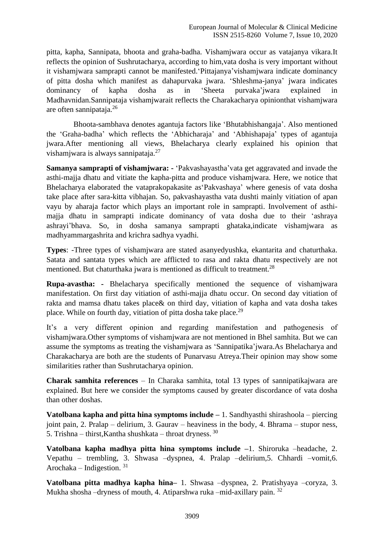pitta, kapha, Sannipata, bhoota and graha-badha. Vishamjwara occur as vatajanya vikara.It reflects the opinion of Sushrutacharya, according to him,vata dosha is very important without it vishamjwara samprapti cannot be manifested.'Pittajanya'vishamjwara indicate dominancy of pitta dosha which manifest as dahapurvaka jwara. 'Shleshma-janya' jwara indicates dominancy of kapha dosha as in 'Sheeta purvaka'jwara explained in Madhavnidan.Sannipataja vishamjwarait reflects the Charakacharya opinionthat vishamjwara are often sannipataja.<sup>26</sup>

 Bhoota-sambhava denotes agantuja factors like 'Bhutabhishangaja'. Also mentioned the 'Graha-badha' which reflects the 'Abhicharaja' and 'Abhishapaja' types of agantuja jwara.After mentioning all views, Bhelacharya clearly explained his opinion that vishamjwara is always sannipataja.<sup>27</sup>

**Samanya samprapti of vishamjwara: -** 'Pakvashayastha'vata get aggravated and invade the asthi-majja dhatu and vitiate the kapha-pitta and produce vishamjwara. Here, we notice that Bhelacharya elaborated the vataprakopakasite as'Pakvashaya' where genesis of vata dosha take place after sara-kitta vibhajan. So, pakvashayastha vata dushti mainly vitiation of apan vayu by aharaja factor which plays an important role in samprapti. Involvement of asthimajja dhatu in samprapti indicate dominancy of vata dosha due to their 'ashraya ashrayi'bhava. So, in dosha samanya samprapti ghataka,indicate vishamjwara as madhyammargashrita and krichra sadhya vyadhi.

**Types**: -Three types of vishamjwara are stated asanyedyushka, ekantarita and chaturthaka. Satata and santata types which are afflicted to rasa and rakta dhatu respectively are not mentioned. But chaturthaka jwara is mentioned as difficult to treatment.<sup>28</sup>

**Rupa-avastha: -** Bhelacharya specifically mentioned the sequence of vishamjwara manifestation. On first day vitiation of asthi-majja dhatu occur. On second day vitiation of rakta and mamsa dhatu takes place& on third day, vitiation of kapha and vata dosha takes place. While on fourth day, vitiation of pitta dosha take place.<sup>29</sup>

It's a very different opinion and regarding manifestation and pathogenesis of vishamjwara.Other symptoms of vishamjwara are not mentioned in Bhel samhita. But we can assume the symptoms as treating the vishamjwara as 'Sannipatika'jwara.As Bhelacharya and Charakacharya are both are the students of Punarvasu Atreya.Their opinion may show some similarities rather than Sushrutacharya opinion.

**Charak samhita references** – In Charaka samhita, total 13 types of sannipatikajwara are explained. But here we consider the symptoms caused by greater discordance of vata dosha than other doshas.

**Vatolbana kapha and pitta hina symptoms include –** 1. Sandhyasthi shirashoola – piercing joint pain, 2. Pralap – delirium, 3. Gaurav – heaviness in the body, 4. Bhrama – stupor ness, 5. Trishna – thirst,Kantha shushkata – throat dryness. <sup>30</sup>

**Vatolbana kapha madhya pitta hina symptoms include –**1. Shiroruka –headache, 2. Vepathu – trembling, 3. Shwasa –dyspnea, 4. Pralap –delirium,5. Chhardi –vomit,6. Arochaka – Indigestion.  $31$ 

**Vatolbana pitta madhya kapha hina–** 1. Shwasa –dyspnea, 2. Pratishyaya –coryza, 3. Mukha shosha –dryness of mouth, 4. Atiparshwa ruka –mid-axillary pain. <sup>32</sup>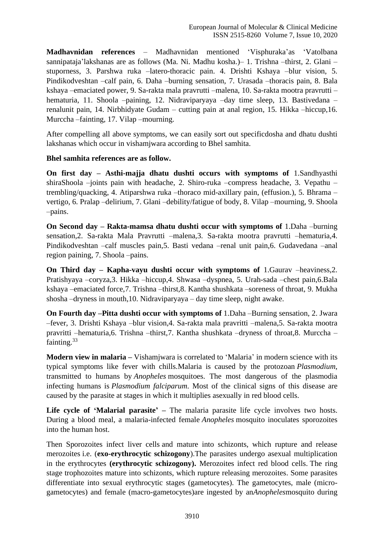**Madhavnidan references** – Madhavnidan mentioned 'Visphuraka'as 'Vatolbana sannipataja'lakshanas are as follows (Ma. Ni. Madhu kosha.)– 1. Trishna –thirst, 2. Glani – stuporness, 3. Parshwa ruka –latero-thoracic pain. 4. Drishti Kshaya –blur vision, 5. Pindikodveshtan –calf pain, 6. Daha –burning sensation, 7. Urasada –thoracis pain, 8. Bala kshaya –emaciated power, 9. Sa-rakta mala pravrutti –malena, 10. Sa-rakta mootra pravrutti – hematuria, 11. Shoola –paining, 12. Nidraviparyaya –day time sleep, 13. Bastivedana – renalunit pain, 14. Nirbhidyate Gudam – cutting pain at anal region, 15. Hikka –hiccup,16. Murccha –fainting, 17. Vilap –mourning.

After compelling all above symptoms, we can easily sort out specificdosha and dhatu dushti lakshanas which occur in vishamjwara according to Bhel samhita.

## **Bhel samhita references are as follow.**

**On first day – Asthi-majja dhatu dushti occurs with symptoms of** 1.Sandhyasthi shiraShoola –joints pain with headache, 2. Shiro-ruka –compress headache, 3. Vepathu – trembling/quacking, 4. Atiparshwa ruka –thoraco mid-axillary pain, (effusion.), 5. Bhrama – vertigo, 6. Pralap –delirium, 7. Glani –debility/fatigue of body, 8. Vilap –mourning, 9. Shoola –pains.

**On Second day – Rakta-mamsa dhatu dushti occur with symptoms of** 1.Daha –burning sensation,2. Sa-rakta Mala Pravrutti –malena,3. Sa-rakta mootra pravrutti –hematuria,4. Pindikodveshtan –calf muscles pain,5. Basti vedana –renal unit pain,6. Gudavedana –anal region paining, 7. Shoola –pains.

**On Third day – Kapha-vayu dushti occur with symptoms of** 1.Gaurav –heaviness,2. Pratishyaya –coryza,3. Hikka –hiccup,4. Shwasa –dyspnea, 5. Urah-sada –chest pain,6.Bala kshaya –emaciated force,7. Trishna –thirst,8. Kantha shushkata –soreness of throat, 9. Mukha shosha –dryness in mouth,10. Nidraviparyaya – day time sleep, night awake.

**On Fourth day –Pitta dushti occur with symptoms of** 1.Daha –Burning sensation, 2. Jwara –fever, 3. Drishti Kshaya –blur vision,4. Sa-rakta mala pravritti –malena,5. Sa-rakta mootra pravritti –hematuria,6. Trishna –thirst,7. Kantha shushkata –dryness of throat,8. Murccha – fainting.<sup>33</sup>

**Modern view in malaria –** Vishamjwara is correlated to 'Malaria' in modern science with its typical symptoms like fever with chills.Malaria is caused by the protozoan *Plasmodium*, transmitted to humans by *Anopheles* mosquitoes. The most dangerous of the plasmodia infecting humans is *Plasmodium falciparum*. Most of the clinical signs of this disease are caused by the parasite at stages in which it multiplies asexually in red blood cells.

**Life cycle of 'Malarial parasite' –** The malaria parasite life cycle involves two hosts. During a blood meal, a malaria-infected female *Anopheles* mosquito inoculates sporozoites into the human host.

Then Sporozoites infect liver cells and mature into schizonts, which rupture and release merozoites i.e. (**exo-erythrocytic schizogony**).The parasites undergo asexual multiplication in the erythrocytes **(erythrocytic schizogony).** Merozoites infect red blood cells. The ring stage trophozoites mature into schizonts, which rupture releasing merozoites. Some parasites differentiate into sexual erythrocytic stages (gametocytes). The gametocytes, male (microgametocytes) and female (macro-gametocytes)are ingested by an*Anopheles*mosquito during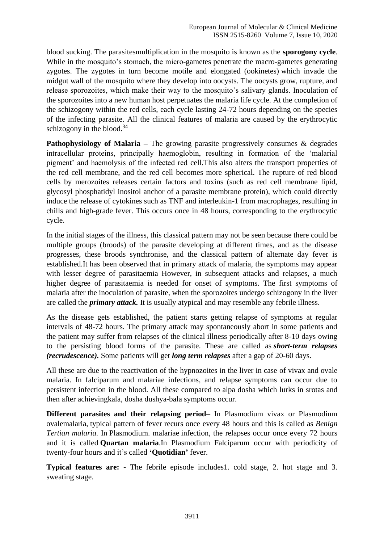blood sucking. The parasitesmultiplication in the mosquito is known as the **sporogony cycle**. While in the mosquito's stomach, the micro-gametes penetrate the macro-gametes generating zygotes. The zygotes in turn become motile and elongated (ookinetes) which invade the midgut wall of the mosquito where they develop into oocysts. The oocysts grow, rupture, and release sporozoites, which make their way to the mosquito's salivary glands. Inoculation of the sporozoites into a new human host perpetuates the malaria life cycle. At the completion of the schizogony within the red cells, each cycle lasting 24-72 hours depending on the species of the infecting parasite. All the clinical features of malaria are caused by the erythrocytic schizogony in the blood. $34$ 

**Pathophysiology of Malaria –** The growing parasite progressively consumes & degrades intracellular proteins, principally haemoglobin, resulting in formation of the 'malarial pigment' and haemolysis of the infected red cell.This also alters the transport properties of the red cell membrane, and the red cell becomes more spherical. The rupture of red blood cells by merozoites releases certain factors and toxins (such as red cell membrane lipid, glycosyl phosphatidyl inositol anchor of a parasite membrane protein), which could directly induce the release of cytokines such as TNF and interleukin-1 from macrophages, resulting in chills and high-grade fever. This occurs once in 48 hours, corresponding to the erythrocytic cycle.

In the initial stages of the illness, this classical pattern may not be seen because there could be multiple groups (broods) of the parasite developing at different times, and as the disease progresses, these broods synchronise, and the classical pattern of alternate day fever is established.It has been observed that in primary attack of malaria, the symptoms may appear with lesser degree of parasitaemia However, in subsequent attacks and relapses, a much higher degree of parasitaemia is needed for onset of symptoms. The first symptoms of malaria after the inoculation of parasite, when the sporozoites undergo schizogony in the liver are called the *primary attack.* It is usually atypical and may resemble any febrile illness.

As the disease gets established, the patient starts getting relapse of symptoms at regular intervals of 48-72 hours. The primary attack may spontaneously abort in some patients and the patient may suffer from relapses of the clinical illness periodically after 8-10 days owing to the persisting blood forms of the parasite. These are called as *short-term relapses (recrudescence).* Some patients will get *long term relapses* after a gap of 20-60 days.

All these are due to the reactivation of the hypnozoites in the liver in case of vivax and ovale malaria. In falciparum and malariae infections, and relapse symptoms can occur due to persistent infection in the blood. All these compared to alpa dosha which lurks in srotas and then after achievingkala, dosha dushya-bala symptoms occur.

**Different parasites and their relapsing period–** In Plasmodium vivax or Plasmodium ovalemalaria, typical pattern of fever recurs once every 48 hours and this is called as *Benign Tertian malaria.* In Plasmodium. malariae infection, the relapses occur once every 72 hours and it is called **Quartan malaria**.In Plasmodium Falciparum occur with periodicity of twenty-four hours and it's called **'Quotidian'** fever.

**Typical features are: -** The febrile episode includes1. cold stage, 2. hot stage and 3. sweating stage.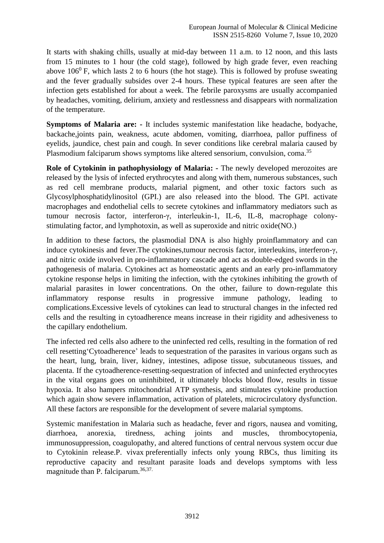It starts with shaking chills, usually at mid-day between 11 a.m. to 12 noon, and this lasts from 15 minutes to 1 hour (the cold stage), followed by high grade fever, even reaching above  $106^{\circ}$  F, which lasts 2 to 6 hours (the hot stage). This is followed by profuse sweating and the fever gradually subsides over 2-4 hours. These typical features are seen after the infection gets established for about a week. The febrile paroxysms are usually accompanied by headaches, vomiting, delirium, anxiety and restlessness and disappears with normalization of the temperature.

**Symptoms of Malaria are: -** It includes systemic manifestation like headache, bodyache, backache,joints pain, weakness, acute abdomen, vomiting, diarrhoea, pallor puffiness of eyelids, jaundice, chest pain and cough. In sever conditions like cerebral malaria caused by Plasmodium falciparum shows symptoms like altered sensorium, convulsion, coma.<sup>35</sup>

**Role of Cytokinin in pathophysiology of Malaria: -** The newly developed merozoites are released by the lysis of infected erythrocytes and along with them, numerous substances, such as red cell membrane products, malarial pigment, and other toxic factors such as Glycosylphosphatidylinositol (GPI.) are also released into the blood. The GPI. activate macrophages and endothelial cells to secrete cytokines and inflammatory mediators such as tumour necrosis factor, interferon-γ, interleukin-1, IL-6, IL-8, macrophage colonystimulating factor, and lymphotoxin, as well as superoxide and nitric oxide(NO.)

In addition to these factors, the plasmodial DNA is also highly proinflammatory and can induce cytokinesis and fever.The cytokines,tumour necrosis factor, interleukins, interferon-γ, and nitric oxide involved in pro-inflammatory cascade and act as double-edged swords in the pathogenesis of malaria. Cytokines act as homeostatic agents and an early pro-inflammatory cytokine response helps in limiting the infection, with the cytokines inhibiting the growth of malarial parasites in lower concentrations. On the other, failure to down-regulate this inflammatory response results in progressive immune pathology, leading to complications.Excessive levels of cytokines can lead to structural changes in the infected red cells and the resulting in cytoadherence means increase in their rigidity and adhesiveness to the capillary endothelium.

The infected red cells also adhere to the uninfected red cells, resulting in the formation of red cell resetting'Cytoadherence' leads to sequestration of the parasites in various organs such as the heart, lung, brain, liver, kidney, intestines, adipose tissue, subcutaneous tissues, and placenta. If the cytoadherence-resetting-sequestration of infected and uninfected erythrocytes in the vital organs goes on uninhibited, it ultimately blocks blood flow, results in tissue hypoxia. It also hampers mitochondrial ATP synthesis, and stimulates cytokine production which again show severe inflammation, activation of platelets, microcirculatory dysfunction. All these factors are responsible for the development of severe malarial symptoms.

Systemic manifestation in Malaria such as headache, fever and rigors, nausea and vomiting, diarrhoea, anorexia, tiredness, aching joints and muscles, thrombocytopenia, immunosuppression, coagulopathy, and altered functions of central nervous system occur due to Cytokinin release.P. vivax preferentially infects only young RBCs, thus limiting its reproductive capacity and resultant parasite loads and develops symptoms with less magnitude than P. falciparum.<sup>36,37.</sup>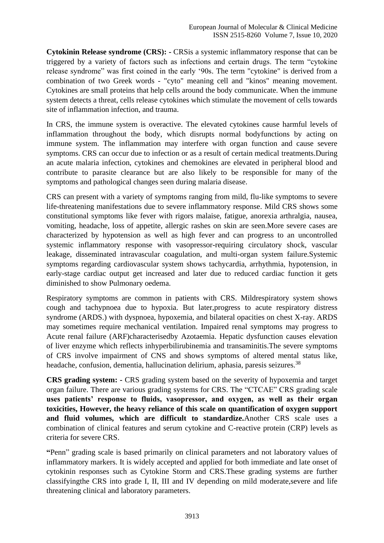**Cytokinin Release syndrome (CRS): -** CRSis a systemic inflammatory response that can be triggered by a variety of factors such as infections and certain drugs. The term "cytokine release syndrome" was first coined in the early '90s. The term "cytokine" is derived from a combination of two Greek words - "cyto" meaning cell and "kinos" meaning movement. Cytokines are small proteins that help cells around the body communicate. When the immune system detects a threat, cells release cytokines which stimulate the movement of cells towards site of inflammation infection, and trauma.

In CRS, the immune system is overactive. The elevated cytokines cause harmful levels of inflammation throughout the body, which disrupts normal bodyfunctions by acting on immune system. The inflammation may interfere with organ function and cause severe symptoms. CRS can occur due to infection or as a result of certain medical treatments.During an acute malaria infection, cytokines and chemokines are elevated in peripheral blood and contribute to parasite clearance but are also likely to be responsible for many of the symptoms and pathological changes seen during malaria disease.

CRS can present with a variety of symptoms ranging from mild, flu-like symptoms to severe life-threatening manifestations due to severe inflammatory response. Mild CRS shows some constitutional symptoms like fever with rigors malaise, fatigue, anorexia arthralgia, nausea, vomiting, headache, loss of appetite, allergic rashes on skin are seen.More severe cases are characterized by hypotension as well as high fever and can progress to an uncontrolled systemic inflammatory response with vasopressor-requiring circulatory shock, vascular leakage, disseminated intravascular coagulation, and multi-organ system failure.Systemic symptoms regarding cardiovascular system shows tachycardia, arrhythmia, hypotension, in early-stage cardiac output get increased and later due to reduced cardiac function it gets diminished to show Pulmonary oedema.

Respiratory symptoms are common in patients with CRS. Mildrespiratory system shows cough and tachypnoea due to hypoxia. But later,progress to acute respiratory distress syndrome (ARDS.) with dyspnoea, hypoxemia, and bilateral opacities on chest X-ray. ARDS may sometimes require mechanical ventilation. Impaired renal symptoms may progress to Acute renal failure (ARF)characterisedby Azotaemia. Hepatic dysfunction causes elevation of liver enzyme which reflects inhyperbilirubinemia and transaminitis.The severe symptoms of CRS involve impairment of CNS and shows symptoms of altered mental status like, headache, confusion, dementia, hallucination delirium, aphasia, paresis seizures.<sup>38</sup>

**CRS grading system: -** CRS grading system based on the severity of hypoxemia and target organ failure. There are various grading systems for CRS. The "CTCAE" CRS grading scale **uses patients' response to fluids, vasopressor, and oxygen, as well as their organ toxicities, However, the heavy reliance of this scale on quantification of oxygen support and fluid volumes, which are difficult to standardize.**Another CRS scale uses a combination of clinical features and serum cytokine and C-reactive protein (CRP) levels as criteria for severe CRS.

**"**Penn" grading scale is based primarily on clinical parameters and not laboratory values of inflammatory markers. It is widely accepted and applied for both immediate and late onset of cytokinin responses such as Cytokine Storm and CRS.These grading systems are further classifyingthe CRS into grade I, II, III and IV depending on mild moderate,severe and life threatening clinical and laboratory parameters.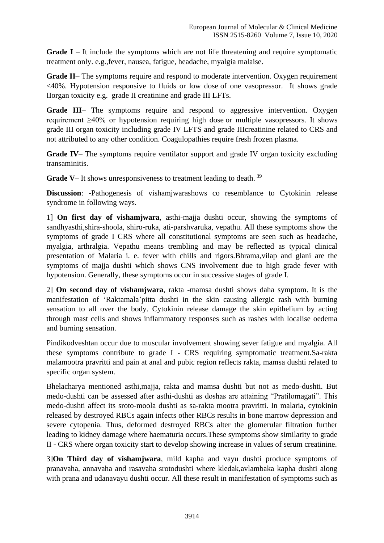**Grade I** – It include the symptoms which are not life threatening and require symptomatic treatment only. e.g.,fever, nausea, fatigue, headache, myalgia malaise.

**Grade II**– The symptoms require and respond to moderate intervention. Oxygen requirement <40%. Hypotension responsive to fluids or low dose of one vasopressor. It shows grade IIorgan toxicity e.g. grade II creatinine and grade III LFTs.

**Grade III**– The symptoms require and respond to aggressive intervention. Oxygen requirement ≥40% or hypotension requiring high dose or multiple vasopressors. It shows grade III organ toxicity including grade IV LFTS and grade IIIcreatinine related to CRS and not attributed to any other condition. Coagulopathies require fresh frozen plasma.

**Grade IV**– The symptoms require ventilator support and grade IV organ toxicity excluding transaminitis.

**Grade V–** It shows unresponsiveness to treatment leading to death.<sup>39</sup>

**Discussion**: -Pathogenesis of vishamjwarashows co resemblance to Cytokinin release syndrome in following ways.

1] **On first day of vishamjwara**, asthi-majja dushti occur, showing the symptoms of sandhyasthi,shira-shoola, shiro-ruka, ati-parshvaruka, vepathu. All these symptoms show the symptoms of grade I CRS where all constitutional symptoms are seen such as headache, myalgia, arthralgia. Vepathu means trembling and may be reflected as typical clinical presentation of Malaria i. e. fever with chills and rigors.Bhrama,vilap and glani are the symptoms of majja dushti which shows CNS involvement due to high grade fever with hypotension. Generally, these symptoms occur in successive stages of grade I.

2] **On second day of vishamjwara**, rakta -mamsa dushti shows daha symptom. It is the manifestation of 'Raktamala'pitta dushti in the skin causing allergic rash with burning sensation to all over the body. Cytokinin release damage the skin epithelium by acting through mast cells and shows inflammatory responses such as rashes with localise oedema and burning sensation.

Pindikodveshtan occur due to muscular involvement showing sever fatigue and myalgia. All these symptoms contribute to grade I - CRS requiring symptomatic treatment.Sa-rakta malamootra pravritti and pain at anal and pubic region reflects rakta, mamsa dushti related to specific organ system.

Bhelacharya mentioned asthi,majja, rakta and mamsa dushti but not as medo-dushti. But medo-dushti can be assessed after asthi-dushti as doshas are attaining "Pratilomagati". This medo-dushti affect its sroto-moola dushti as sa-rakta mootra pravritti. In malaria, cytokinin released by destroyed RBCs again infects other RBCs results in bone marrow depression and severe cytopenia. Thus, deformed destroyed RBCs alter the glomerular filtration further leading to kidney damage where haematuria occurs.These symptoms show similarity to grade II - CRS where organ toxicity start to develop showing increase in values of serum creatinine.

3]**On Third day of vishamjwara**, mild kapha and vayu dushti produce symptoms of pranavaha, annavaha and rasavaha srotodushti where kledak,avlambaka kapha dushti along with prana and udanavayu dushti occur. All these result in manifestation of symptoms such as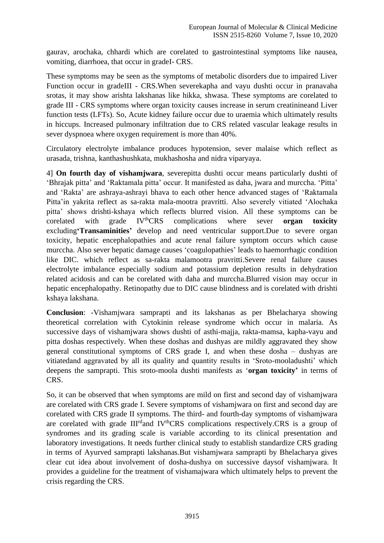gaurav, arochaka, chhardi which are corelated to gastrointestinal symptoms like nausea, vomiting, diarrhoea, that occur in gradeI- CRS.

These symptoms may be seen as the symptoms of metabolic disorders due to impaired Liver Function occur in gradeIII - CRS.When severekapha and vayu dushti occur in pranavaha srotas, it may show arishta lakshanas like hikka, shwasa. These symptoms are corelated to grade III - CRS symptoms where organ toxicity causes increase in serum creatinineand Liver function tests (LFTs). So, Acute kidney failure occur due to uraemia which ultimately results in hiccups. Increased pulmonary infiltration due to CRS related vascular leakage results in sever dyspnoea where oxygen requirement is more than 40%.

Circulatory electrolyte imbalance produces hypotension, sever malaise which reflect as urasada, trishna, kanthashushkata, mukhashosha and nidra viparyaya.

4] **On fourth day of vishamjwara**, severepitta dushti occur means particularly dushti of 'Bhrajak pitta' and 'Raktamala pitta' occur. It manifested as daha, jwara and murccha. 'Pitta' and 'Rakta' are ashraya-ashrayi bhava to each other hence advanced stages of 'Raktamala Pitta'in yakrita reflect as sa-rakta mala-mootra pravritti. Also severely vitiated 'Alochaka pitta' shows drishti-kshaya which reflects blurred vision. All these symptoms can be corelated with grade IV<sup>th</sup>CRS complications where sever **organ toxicity** excluding**'Transaminities'** develop and need ventricular support.Due to severe organ toxicity, hepatic encephalopathies and acute renal failure symptom occurs which cause murccha. Also sever hepatic damage causes 'coagulopathies' leads to haemorrhagic condition like DIC. which reflect as sa-rakta malamootra pravritti.Severe renal failure causes electrolyte imbalance especially sodium and potassium depletion results in dehydration related acidosis and can be corelated with daha and murccha.Blurred vision may occur in hepatic encephalopathy. Retinopathy due to DIC cause blindness and is corelated with drishti kshaya lakshana.

**Conclusion**: -Vishamjwara samprapti and its lakshanas as per Bhelacharya showing theoretical correlation with Cytokinin release syndrome which occur in malaria. As successive days of vishamjwara shows dushti of asthi-majja, rakta-mamsa, kapha-vayu and pitta doshas respectively. When these doshas and dushyas are mildly aggravated they show general constitutional symptoms of CRS grade I, and when these dosha – dushyas are vitiatedand aggravated by all its quality and quantity results in 'Sroto-mooladushti' which deepens the samprapti. This sroto-moola dushti manifests as '**organ toxicity'** in terms of CRS.

So, it can be observed that when symptoms are mild on first and second day of vishamjwara are corelated with CRS grade I. Severe symptoms of vishamjwara on first and second day are corelated with CRS grade II symptoms. The third- and fourth-day symptoms of vishamjwara are corelated with grade  $III<sup>rd</sup>$  and  $IV<sup>th</sup>CRS$  complications respectively.CRS is a group of syndromes and its grading scale is variable according to its clinical presentation and laboratory investigations. It needs further clinical study to establish standardize CRS grading in terms of Ayurved samprapti lakshanas.But vishamjwara samprapti by Bhelacharya gives clear cut idea about involvement of dosha-dushya on successive daysof vishamjwara. It provides a guideline for the treatment of vishamajwara which ultimately helps to prevent the crisis regarding the CRS.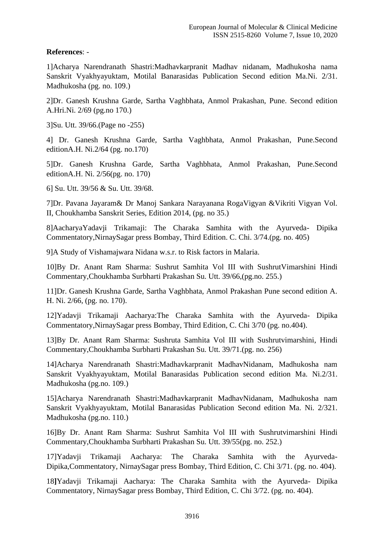# **References**: -

1]Acharya Narendranath Shastri:Madhavkarpranit Madhav nidanam, Madhukosha nama Sanskrit Vyakhyayuktam, Motilal Banarasidas Publication Second edition Ma.Ni. 2/31. Madhukosha (pg. no. 109.)

2]Dr. Ganesh Krushna Garde, Sartha Vaghbhata, Anmol Prakashan, Pune. Second edition A.Hri.Ni. 2/69 (pg.no 170.)

3]Su. Utt. 39/66.(Page no -255)

4] Dr. Ganesh Krushna Garde, Sartha Vaghbhata, Anmol Prakashan, Pune.Second editionA.H. Ni.2/64 (pg. no.170)

5]Dr. Ganesh Krushna Garde, Sartha Vaghbhata, Anmol Prakashan, Pune.Second editionA.H. Ni. 2/56(pg. no. 170)

6] Su. Utt. 39/56 & Su. Utt. 39/68.

7]Dr. Pavana Jayaram& Dr Manoj Sankara Narayanana RogaVigyan &Vikriti Vigyan Vol. II, Choukhamba Sanskrit Series, Edition 2014, (pg. no 35.)

8]AacharyaYadavji Trikamaji: The Charaka Samhita with the Ayurveda- Dipika Commentatory,NirnaySagar press Bombay, Third Edition. C. Chi. 3/74.(pg. no. 405)

9]A Study of Vishamajwara Nidana w.s.r. to Risk factors in Malaria.

10]By Dr. Anant Ram Sharma: Sushrut Samhita Vol III with SushrutVimarshini Hindi Commentary,Choukhamba Surbharti Prakashan Su. Utt. 39/66,(pg.no. 255.)

11]Dr. Ganesh Krushna Garde, Sartha Vaghbhata, Anmol Prakashan Pune second edition A. H. Ni. 2/66, (pg. no. 170).

12]Yadavji Trikamaji Aacharya:The Charaka Samhita with the Ayurveda- Dipika Commentatory,NirnaySagar press Bombay, Third Edition, C. Chi 3/70 (pg. no.404).

13]By Dr. Anant Ram Sharma: Sushruta Samhita Vol III with Sushrutvimarshini, Hindi Commentary,Choukhamba Surbharti Prakashan Su. Utt. 39/71.(pg. no. 256)

14]Acharya Narendranath Shastri:Madhavkarpranit MadhavNidanam, Madhukosha nam Sanskrit Vyakhyayuktam, Motilal Banarasidas Publication second edition Ma. Ni.2/31. Madhukosha (pg.no. 109.)

15]Acharya Narendranath Shastri:Madhavkarpranit MadhavNidanam, Madhukosha nam Sanskrit Vyakhyayuktam, Motilal Banarasidas Publication Second edition Ma. Ni. 2/321. Madhukosha (pg.no. 110.)

16]By Dr. Anant Ram Sharma: Sushrut Samhita Vol III with Sushrutvimarshini Hindi Commentary,Choukhamba Surbharti Prakashan Su. Utt. 39/55(pg. no. 252.)

17]Yadavji Trikamaji Aacharya: The Charaka Samhita with the Ayurveda-Dipika,Commentatory, NirnaySagar press Bombay, Third Edition, C. Chi 3/71. (pg. no. 404).

18**]**Yadavji Trikamaji Aacharya: The Charaka Samhita with the Ayurveda- Dipika Commentatory, NirnaySagar press Bombay, Third Edition, C. Chi 3/72. (pg. no. 404).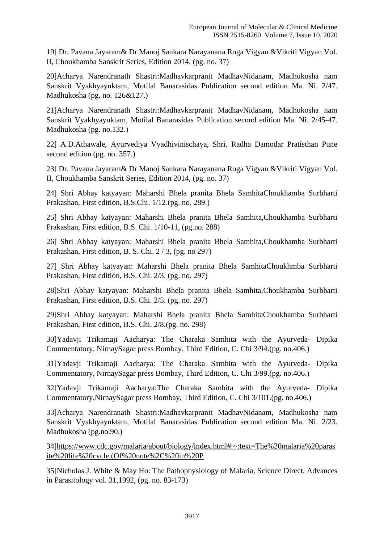19] Dr. Pavana Jayaram& Dr Manoj Sankara Narayanana Roga Vigyan &Vikriti Vigyan Vol. II, Choukhamba Sanskrit Series, Edition 2014, (pg. no. 37)

20]Acharya Narendranath Shastri:Madhavkarpranit MadhavNidanam, Madhukosha nam Sanskrit Vyakhyayuktam, Motilal Banarasidas Publication second edition Ma. Ni. 2/47. Madhukosha (pg. no. 126&127.)

21]Acharya Narendranath Shastri:Madhavkarpranit MadhavNidanam, Madhukosha nam Sanskrit Vyakhyayuktam, Motilal Banarasidas Publication second edition Ma. Ni. 2/45-47. Madhukosha (pg. no.132.)

22] A.D.Athawale, Ayurvediya Vyadhivinischaya, Shri. Radha Damodar Pratisthan Pune second edition (pg. no. 357.)

23] Dr. Pavana Jayaram& Dr Manoj Sankara Narayanana Roga Vigyan &Vikriti Vigyan Vol. II, Choukhamba Sanskrit Series, Edition 2014, (pg. no. 37)

24] Shri Abhay katyayan: Maharshi Bhela pranita Bhela SamhitaChoukhamba Surbharti Prakashan, First edition, B.S.Chi. 1/12.(pg. no. 289.)

25] Shri Abhay katyayan: Maharshi Bhela pranita Bhela Samhita,Choukhamba Surbharti Prakashan, First edition, B.S. Chi. 1/10-11, (pg.no. 288)

26] Shri Abhay katyayan: Maharshi Bhela pranita Bhela Samhita,Choukhamba Surbharti Prakashan, First edition, B. S. Chi. 2 / 3, (pg. no 297)

27] Shri Abhay katyayan: Maharshi Bhela pranita Bhela SamhitaChoukhmba Surbharti Prakashan, First edition, B.S. Chi. 2/3. (pg. no. 297)

28]Shri Abhay katyayan: Maharshi Bhela pranita Bhela Samhita,Choukhamba Surbharti Prakashan, First edition, B.S. Chi. 2/5. (pg. no. 297)

29]Shri Abhay katyayan: Maharshi Bhela pranita Bhela SamhitaChoukhamba Surbharti Prakashan, First edition, B.S. Chi. 2/8.(pg. no. 298)

30]Yadavji Trikamaji Aacharya: The Charaka Samhita with the Ayurveda- Dipika Commentatory, NirnaySagar press Bombay, Third Edition, C. Chi 3/94.(pg. no.406.)

31]Yadavji Trikamaji Aacharya: The Charaka Samhita with the Ayurveda- Dipika Commentatory, NirnaySagar press Bombay, Third Edition, C. Chi 3/99.(pg. no.406.)

32]Yadavji Trikamaji Aacharya:The Charaka Samhita with the Ayurveda- Dipika Commentatory,NirnaySagar press Bombay, Third Edition, C. Chi 3/101.(pg. no.406.)

33]Acharya Narendranath Shastri:Madhavkarpranit MadhavNidanam, Madhukosha nam Sanskrit Vyakhyayuktam, Motilal Banarasidas Publication second edition Ma. Ni. 2/23. Madhukosha (pg.no.90.)

34[\]https://www.cdc.gov/malaria/about/biology/index.html#:~:text=The%20malaria%20paras](https://www.cdc.gov/malaria/about/biology/index.html#:~:text=The%20malaria%20parasite%20life%20cycle,(Of%20note%2C%20in%20P) [ite%20life%20cycle,\(Of%20note%2C%20in%20P](https://www.cdc.gov/malaria/about/biology/index.html#:~:text=The%20malaria%20parasite%20life%20cycle,(Of%20note%2C%20in%20P)

35]Nicholas J. White & May Ho: The Pathophysiology of Malaria, Science Direct, Advances in Parasitology vol. 31,1992, (pg. no. 83-173)